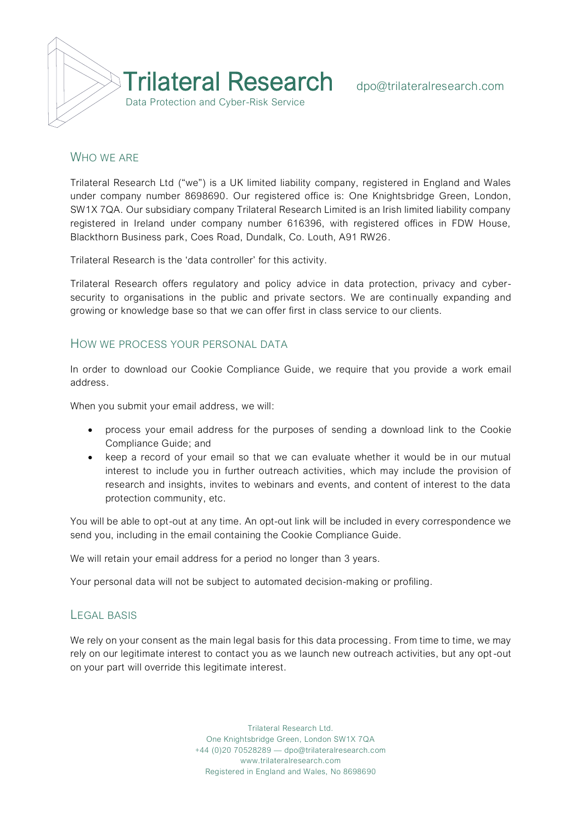

## WHO WE ARE

Trilateral Research Ltd ("we") is a UK limited liability company, registered in England and Wales under company number 8698690. Our registered office is: One Knightsbridge Green, London, SW1X 7QA. Our subsidiary company Trilateral Research Limited is an Irish limited liability company registered in Ireland under company number 616396, with registered offices in FDW House, Blackthorn Business park, Coes Road, Dundalk, Co. Louth, A91 RW26.

Trilateral Research is the 'data controller' for this activity.

Trilateral Research offers regulatory and policy advice in data protection, privacy and cybersecurity to organisations in the public and private sectors. We are continually expanding and growing or knowledge base so that we can offer first in class service to our clients.

#### HOW WE PROCESS YOUR PERSONAL DATA

In order to download our Cookie Compliance Guide, we require that you provide a work email address.

When you submit your email address, we will:

- process your email address for the purposes of sending a download link to the Cookie Compliance Guide; and
- keep a record of your email so that we can evaluate whether it would be in our mutual interest to include you in further outreach activities, which may include the provision of research and insights, invites to webinars and events, and content of interest to the data protection community, etc.

You will be able to opt-out at any time. An opt-out link will be included in every correspondence we send you, including in the email containing the Cookie Compliance Guide.

We will retain your email address for a period no longer than 3 years.

Your personal data will not be subject to automated decision-making or profiling.

#### LEGAL BASIS

We rely on your consent as the main legal basis for this data processing. From time to time, we may rely on our legitimate interest to contact you as we launch new outreach activities, but any opt -out on your part will override this legitimate interest.

> Trilateral Research Ltd. One Knightsbridge Green, London SW1X 7QA +44 (0)20 70528289 — dpo@trilateralresearch.com www.trilateralresearch.com Registered in England and Wales, No 8698690